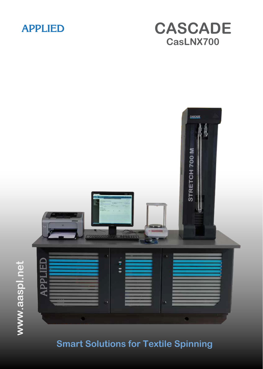

# **CASCADE CasLNX700**



**Smart Solutions for Textile Spinning**